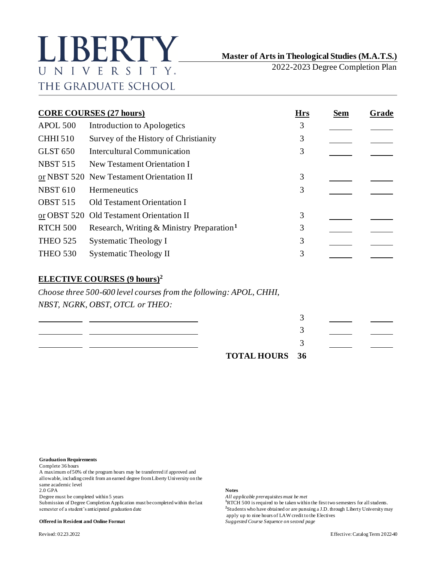# LIBERTY UNIVERSITY. THE GRADUATE SCHOOL

# **Master of Arts in Theological Studies (M.A.T.S.)**

2022-2023 Degree Completion Plan

| <b>CORE COURSES (27 hours)</b> |                                                                    |   | <b>Sem</b> | <u>Grade</u> |
|--------------------------------|--------------------------------------------------------------------|---|------------|--------------|
| APOL 500                       | Introduction to Apologetics                                        | 3 |            |              |
| <b>CHHI510</b>                 | Survey of the History of Christianity                              | 3 |            |              |
| <b>GLST 650</b>                | <b>Intercultural Communication</b>                                 | 3 |            |              |
| <b>NBST 515</b>                | New Testament Orientation I                                        |   |            |              |
|                                | or NBST 520 New Testament Orientation II                           | 3 |            |              |
| <b>NBST 610</b>                | Hermeneutics                                                       | 3 |            |              |
| <b>OBST 515</b>                | Old Testament Orientation I                                        |   |            |              |
|                                | or OBST 520 Old Testament Orientation II                           | 3 |            |              |
| <b>RTCH 500</b>                | Research, Writing & Ministry Preparation <sup>1</sup>              | 3 |            |              |
| <b>THEO 525</b>                | <b>Systematic Theology I</b>                                       | 3 |            |              |
| <b>THEO 530</b>                | <b>Systematic Theology II</b>                                      | 3 |            |              |
|                                | <b>ELECTIVE COURSES (9 hours)<sup>2</sup></b>                      |   |            |              |
|                                | Choose three 500-600 level courses from the following: APOL, CHHI, |   |            |              |
|                                | NBST, NGRK, OBST, OTCL or THEO:                                    |   |            |              |
|                                |                                                                    | 3 |            |              |
|                                |                                                                    | 3 |            |              |
|                                |                                                                    |   |            |              |

**TOTAL HOURS 36**

### **Graduation Requirements**

Complete 36 hours

A maximum of 50% of the program hours may be transferred if approved and allowable, including credit from an earned degree from Liberty University on the same academic level

2.0 GPA **Notes**

Degree must be completed within 5 years *All applicable prerequisites must be met*<br>Submission of Degree Completion Application must be completed within the last <sup>1</sup>RTCH 500 is required to be taken within the first two seme Submission of Degree Completion Application must be completed within the last semester of a student's anticipated graduation date **<sup>2</sup>**

#### **Offered in Resident and Online Format** *Suggested Course Sequence on second page*

<sup>2</sup>Students who have obtained or are pursuing a J.D. through Liberty University may apply up to nine hours of LAW credit to the Electives

3